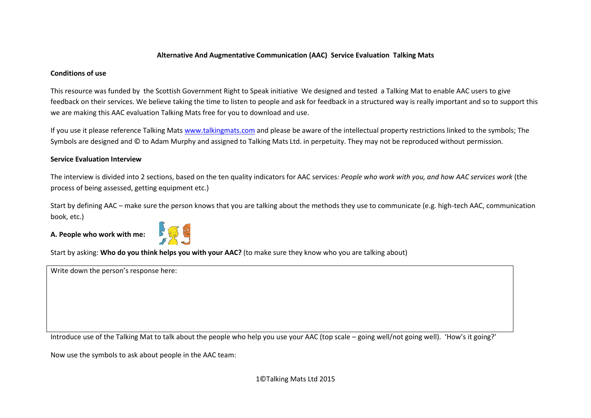## **Alternative And Augmentative Communication (AAC) Service Evaluation Talking Mats**

## **Conditions of use**

This resource was funded by the Scottish Government Right to Speak initiative We designed and tested a Talking Mat to enable AAC users to give feedback on their services. We believe taking the time to listen to people and ask for feedback in a structured way is really important and so to support this we are making this AAC evaluation Talking Mats free for you to download and use.

If you use it please reference Talking Mats [www.talkingmats.com](http://www.talkingmats.com/) and please be aware of the intellectual property restrictions linked to the symbols; The Symbols are designed and © to Adam Murphy and assigned to Talking Mats Ltd. in perpetuity. They may not be reproduced without permission.

## **Service Evaluation Interview**

The interview is divided into 2 sections, based on the ten quality indicators for AAC services*: People who work with you, and how AAC services work* (the process of being assessed, getting equipment etc.)

Start by defining AAC – make sure the person knows that you are talking about the methods they use to communicate (e.g. high-tech AAC, communication book, etc.)

**A. People who work with me:**



Start by asking: **Who do you think helps you with your AAC?** (to make sure they know who you are talking about)

Write down the person's response here:

Introduce use of the Talking Mat to talk about the people who help you use your AAC (top scale – going well/not going well). 'How's it going?'

Now use the symbols to ask about people in the AAC team: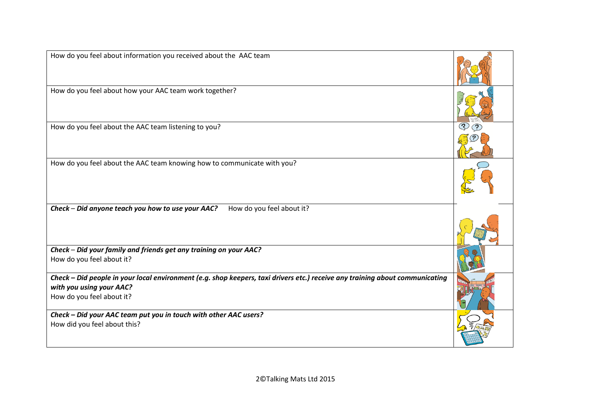| How do you feel about information you received about the AAC team                                                                                                                     |  |
|---------------------------------------------------------------------------------------------------------------------------------------------------------------------------------------|--|
| How do you feel about how your AAC team work together?                                                                                                                                |  |
| How do you feel about the AAC team listening to you?                                                                                                                                  |  |
| How do you feel about the AAC team knowing how to communicate with you?                                                                                                               |  |
| How do you feel about it?<br>Check - Did anyone teach you how to use your AAC?                                                                                                        |  |
| Check - Did your family and friends get any training on your AAC?<br>How do you feel about it?                                                                                        |  |
| Check – Did people in your local environment (e.g. shop keepers, taxi drivers etc.) receive any training about communicating<br>with you using your AAC?<br>How do you feel about it? |  |
| Check - Did your AAC team put you in touch with other AAC users?<br>How did you feel about this?                                                                                      |  |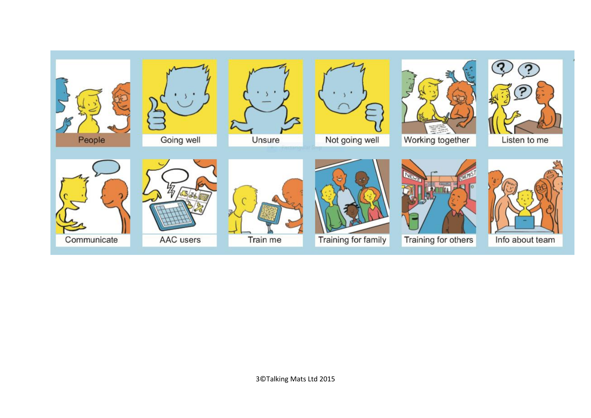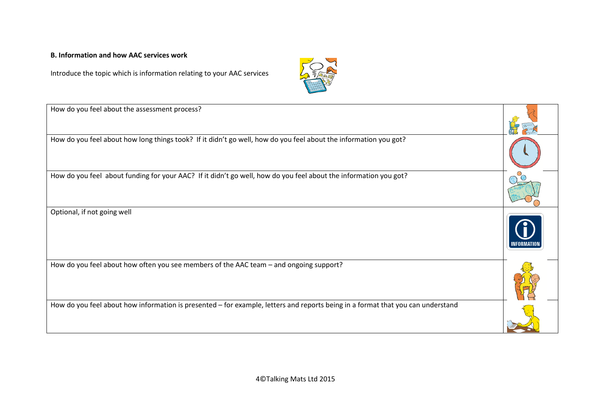## **B. Information and how AAC services work**

Introduce the topic which is information relating to your AAC services



| How do you feel about the assessment process?                                                                                   |  |
|---------------------------------------------------------------------------------------------------------------------------------|--|
| How do you feel about how long things took? If it didn't go well, how do you feel about the information you got?                |  |
| How do you feel about funding for your AAC? If it didn't go well, how do you feel about the information you got?                |  |
| Optional, if not going well                                                                                                     |  |
| How do you feel about how often you see members of the AAC team - and ongoing support?                                          |  |
| How do you feel about how information is presented – for example, letters and reports being in a format that you can understand |  |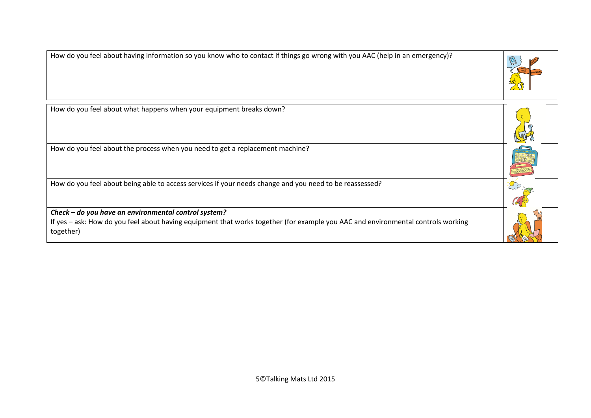| How do you feel about having information so you know who to contact if things go wrong with you AAC (help in an emergency)?                   |  |
|-----------------------------------------------------------------------------------------------------------------------------------------------|--|
| How do you feel about what happens when your equipment breaks down?                                                                           |  |
| How do you feel about the process when you need to get a replacement machine?                                                                 |  |
| How do you feel about being able to access services if your needs change and you need to be reassessed?                                       |  |
| Check - do you have an environmental control system?                                                                                          |  |
| If yes - ask: How do you feel about having equipment that works together (for example you AAC and environmental controls working<br>together) |  |